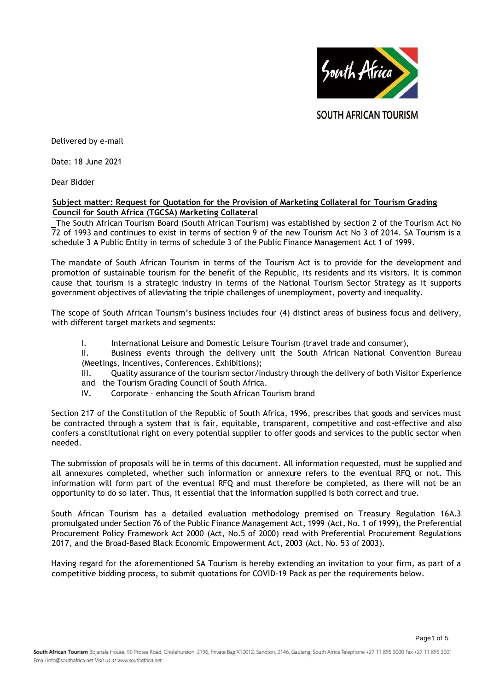

**SOUTH AFRICAN TOURISM** 

Delivered by e-mail

Date: 18 June 2021

Dear Bidder

### **Subject matter: Request for Quotation for the Provision of Marketing Collateral for Tourism Grading Council for South Africa (TGCSA) Marketing Collateral**

The South African Tourism Board (South African Tourism) was established by section 2 of the Tourism Act No 72 of 1993 and continues to exist in terms of section 9 of the new Tourism Act No 3 of 2014. SA Tourism is a schedule 3 A Public Entity in terms of schedule 3 of the Public Finance Management Act 1 of 1999.

The mandate of South African Tourism in terms of the Tourism Act is to provide for the development and promotion of sustainable tourism for the benefit of the Republic, its residents and its visitors. It is common cause that tourism is a strategic industry in terms of the National Tourism Sector Strategy as it supports government objectives of alleviating the triple challenges of unemployment, poverty and inequality.

The scope of South African Tourism's business includes four (4) distinct areas of business focus and delivery, with different target markets and segments:

I. International Leisure and Domestic Leisure Tourism (travel trade and consumer),

II. Business events through the delivery unit the South African National Convention Bureau (Meetings, Incentives, Conferences, Exhibitions);

III. Quality assurance of the tourism sector/industry through the delivery of both Visitor Experience and the Tourism Grading Council of South Africa.

IV. Corporate – enhancing the South African Tourism brand

Section 217 of the Constitution of the Republic of South Africa, 1996, prescribes that goods and services must be contracted through a system that is fair, equitable, transparent, competitive and cost-effective and also confers a constitutional right on every potential supplier to offer goods and services to the public sector when needed.

The submission of proposals will be in terms of this document. All information requested, must be supplied and all annexures completed, whether such information or annexure refers to the eventual RFQ or not. This information will form part of the eventual RFQ and must therefore be completed, as there will not be an opportunity to do so later. Thus, it essential that the information supplied is both correct and true.

South African Tourism has a detailed evaluation methodology premised on Treasury Regulation 16A.3 promulgated under Section 76 of the Public Finance Management Act, 1999 (Act, No. 1 of 1999), the Preferential Procurement Policy Framework Act 2000 (Act, No.5 of 2000) read with Preferential Procurement Regulations 2017, and the Broad-Based Black Economic Empowerment Act, 2003 (Act, No. 53 of 2003).

Having regard for the aforementioned SA Tourism is hereby extending an invitation to your firm, as part of a competitive bidding process, to submit quotations for COVID-19 Pack as per the requirements below.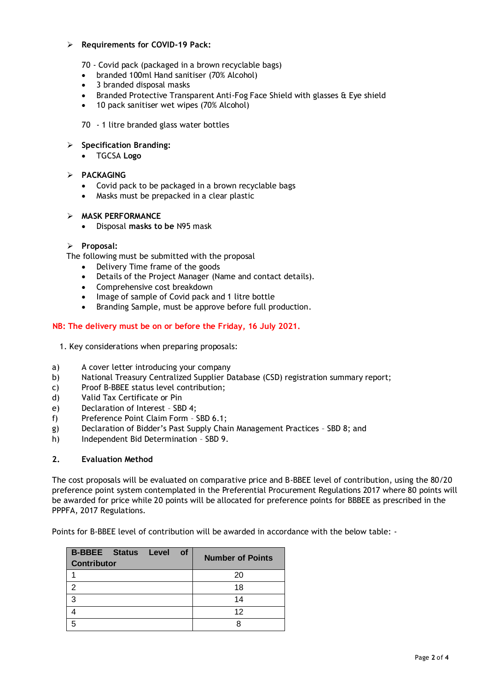### ➢ **Requirements for COVID-19 Pack:**

- 70 Covid pack (packaged in a brown recyclable bags)
- branded 100ml Hand sanitiser (70% Alcohol)
- 3 branded disposal masks
- Branded Protective Transparent Anti-Fog Face Shield with glasses & Eye shield
- 10 pack sanitiser wet wipes (70% Alcohol)
- 70 1 litre branded glass water bottles

# ➢ **Specification Branding:**

• TGCSA **Logo** 

# ➢ **PACKAGING**

- Covid pack to be packaged in a brown recyclable bags
- Masks must be prepacked in a clear plastic

### ➢ **MASK PERFORMANCE**

• Disposal **masks to be** N95 mask

# ➢ **Proposal:**

The following must be submitted with the proposal

- Delivery Time frame of the goods
- Details of the Project Manager (Name and contact details).
- Comprehensive cost breakdown
- Image of sample of Covid pack and 1 litre bottle
- Branding Sample, must be approve before full production.

# **NB: The delivery must be on or before the Friday, 16 July 2021.**

- 1. Key considerations when preparing proposals:
- a) A cover letter introducing your company
- b) National Treasury Centralized Supplier Database (CSD) registration summary report;
- c) Proof B-BBEE status level contribution;
- d) Valid Tax Certificate or Pin
- e) Declaration of Interest SBD 4;
- f) Preference Point Claim Form SBD 6.1;
- g) Declaration of Bidder's Past Supply Chain Management Practices SBD 8; and
- h) Independent Bid Determination SBD 9.

# **2. Evaluation Method**

The cost proposals will be evaluated on comparative price and B-BBEE level of contribution, using the 80/20 preference point system contemplated in the Preferential Procurement Regulations 2017 where 80 points will be awarded for price while 20 points will be allocated for preference points for BBBEE as prescribed in the PPPFA, 2017 Regulations.

Points for B-BBEE level of contribution will be awarded in accordance with the below table: -

| <b>B-BBEE Status Level</b><br><b>of</b><br><b>Contributor</b> | <b>Number of Points</b> |
|---------------------------------------------------------------|-------------------------|
|                                                               | 20                      |
| 2                                                             | 18                      |
| 3                                                             | 14                      |
|                                                               | 12                      |
| 5                                                             |                         |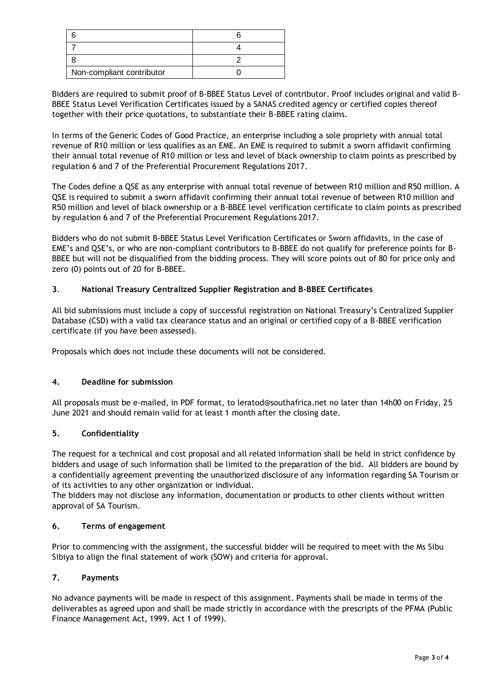| Non-compliant contributor |  |
|---------------------------|--|

Bidders are required to submit proof of B-BBEE Status Level of contributor. Proof includes original and valid B-BBEE Status Level Verification Certificates issued by a SANAS credited agency or certified copies thereof together with their price quotations, to substantiate their B-BBEE rating claims.

In terms of the Generic Codes of Good Practice, an enterprise including a sole propriety with annual total revenue of R10 million or less qualifies as an EME. An EME is required to submit a sworn affidavit confirming their annual total revenue of R10 million or less and level of black ownership to claim points as prescribed by regulation 6 and 7 of the Preferential Procurement Regulations 2017.

The Codes define a QSE as any enterprise with annual total revenue of between R10 million and R50 million. A QSE is required to submit a sworn affidavit confirming their annual total revenue of between R10 million and R50 million and level of black ownership or a B-BBEE level verification certificate to claim points as prescribed by regulation 6 and 7 of the Preferential Procurement Regulations 2017.

Bidders who do not submit B-BBEE Status Level Verification Certificates or Sworn affidavits, in the case of EME's and QSE's, or who are non-compliant contributors to B-BBEE do not qualify for preference points for B-BBEE but will not be disqualified from the bidding process. They will score points out of 80 for price only and zero (0) points out of 20 for B-BBEE.

# **3**. **National Treasury Centralized Supplier Registration and B-BBEE Certificates**

All bid submissions must include a copy of successful registration on National Treasury's Centralized Supplier Database (CSD) with a valid tax clearance status and an original or certified copy of a B-BBEE verification certificate (if you have been assessed).

Proposals which does not include these documents will not be considered.

# **4. Deadline for submission**

All proposals must be e-mailed, in PDF format, to leratod@southafrica.net no later than 14h00 on Friday, 25 June 2021 and should remain valid for at least 1 month after the closing date.

# **5. Confidentiality**

The request for a technical and cost proposal and all related information shall be held in strict confidence by bidders and usage of such information shall be limited to the preparation of the bid. All bidders are bound by a confidentially agreement preventing the unauthorized disclosure of any information regarding SA Tourism or of its activities to any other organization or individual.

The bidders may not disclose any information, documentation or products to other clients without written approval of SA Tourism.

### **6. Terms of engagement**

Prior to commencing with the assignment, the successful bidder will be required to meet with the Ms Sibu Sibiya to align the final statement of work (SOW) and criteria for approval.

# **7. Payments**

No advance payments will be made in respect of this assignment. Payments shall be made in terms of the deliverables as agreed upon and shall be made strictly in accordance with the prescripts of the PFMA (Public Finance Management Act, 1999. Act 1 of 1999).